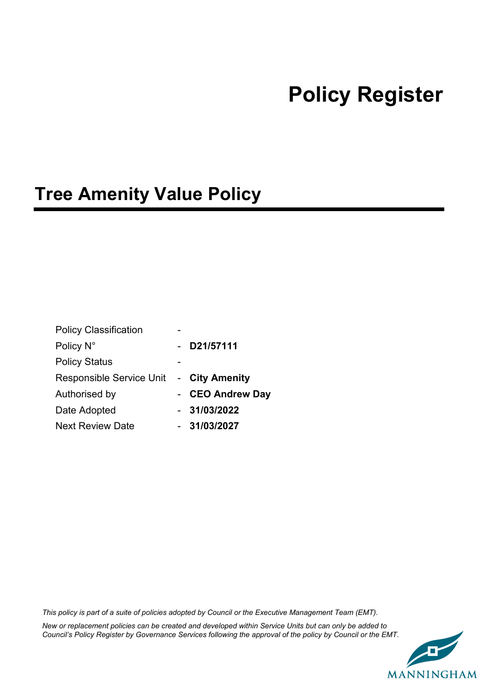# **Policy Register**

# **Tree Amenity Value Policy**

| <b>Policy Classification</b>            |                  |
|-----------------------------------------|------------------|
| Policy N°                               | D21/57111        |
| <b>Policy Status</b>                    |                  |
| Responsible Service Unit - City Amenity |                  |
| Authorised by                           | - CEO Andrew Day |
| Date Adopted                            | $-31/03/2022$    |
| <b>Next Review Date</b>                 | $-31/03/2027$    |

*This policy is part of a suite of policies adopted by Council or the Executive Management Team (EMT).*

*New or replacement policies can be created and developed within Service Units but can only be added to Council's Policy Register by Governance Services following the approval of the policy by Council or the EMT.* 

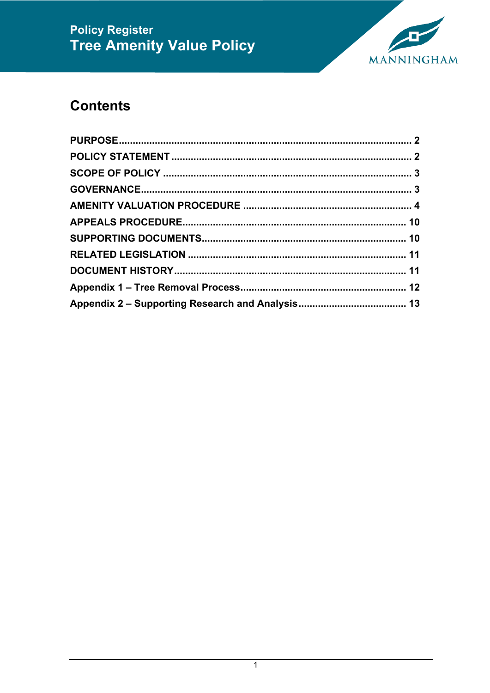

# **Contents**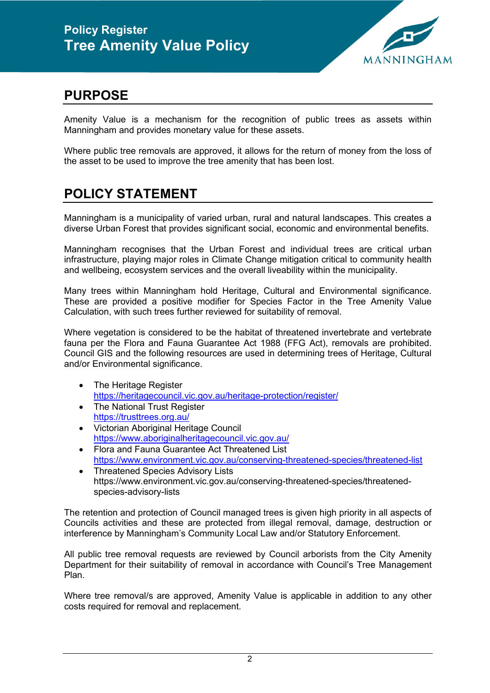

#### <span id="page-2-0"></span>**PURPOSE**

Amenity Value is a mechanism for the recognition of public trees as assets within Manningham and provides monetary value for these assets.

Where public tree removals are approved, it allows for the return of money from the loss of the asset to be used to improve the tree amenity that has been lost.

#### <span id="page-2-1"></span>**POLICY STATEMENT**

Manningham is a municipality of varied urban, rural and natural landscapes. This creates a diverse Urban Forest that provides significant social, economic and environmental benefits.

Manningham recognises that the Urban Forest and individual trees are critical urban infrastructure, playing major roles in Climate Change mitigation critical to community health and wellbeing, ecosystem services and the overall liveability within the municipality.

Many trees within Manningham hold Heritage, Cultural and Environmental significance. These are provided a positive modifier for Species Factor in the Tree Amenity Value Calculation, with such trees further reviewed for suitability of removal.

Where vegetation is considered to be the habitat of threatened invertebrate and vertebrate fauna per the Flora and Fauna Guarantee Act 1988 (FFG Act), removals are prohibited. Council GIS and the following resources are used in determining trees of Heritage, Cultural and/or Environmental significance.

- The Heritage Register <https://heritagecouncil.vic.gov.au/heritage-protection/register/>
- The National Trust Register <https://trusttrees.org.au/>
- Victorian Aboriginal Heritage Council <https://www.aboriginalheritagecouncil.vic.gov.au/>
- Flora and Fauna Guarantee Act Threatened List <https://www.environment.vic.gov.au/conserving-threatened-species/threatened-list>
- Threatened Species Advisory Lists https://www.environment.vic.gov.au/conserving-threatened-species/threatenedspecies-advisory-lists

The retention and protection of Council managed trees is given high priority in all aspects of Councils activities and these are protected from illegal removal, damage, destruction or interference by Manningham's Community Local Law and/or Statutory Enforcement.

All public tree removal requests are reviewed by Council arborists from the City Amenity Department for their suitability of removal in accordance with Council's Tree Management Plan.

Where tree removal/s are approved, Amenity Value is applicable in addition to any other costs required for removal and replacement.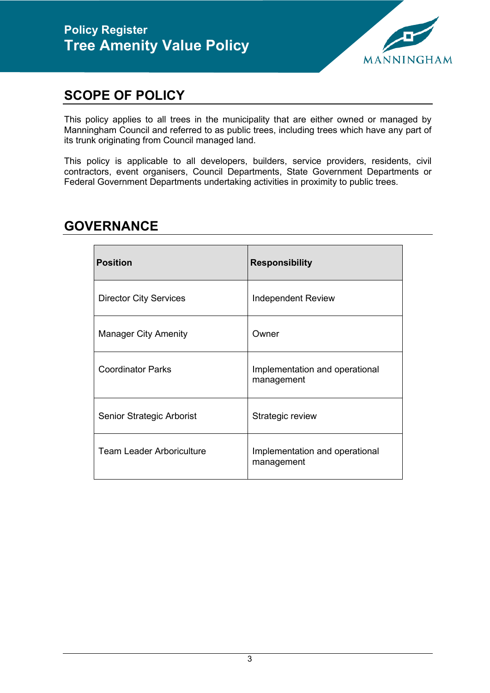

#### <span id="page-3-0"></span>**SCOPE OF POLICY**

This policy applies to all trees in the municipality that are either owned or managed by Manningham Council and referred to as public trees, including trees which have any part of its trunk originating from Council managed land.

This policy is applicable to all developers, builders, service providers, residents, civil contractors, event organisers, Council Departments, State Government Departments or Federal Government Departments undertaking activities in proximity to public trees.

| <b>Position</b>                  | <b>Responsibility</b>                        |
|----------------------------------|----------------------------------------------|
| <b>Director City Services</b>    | <b>Independent Review</b>                    |
| <b>Manager City Amenity</b>      | Owner                                        |
| <b>Coordinator Parks</b>         | Implementation and operational<br>management |
| Senior Strategic Arborist        | Strategic review                             |
| <b>Team Leader Arboriculture</b> | Implementation and operational<br>management |

#### <span id="page-3-1"></span>**GOVERNANCE**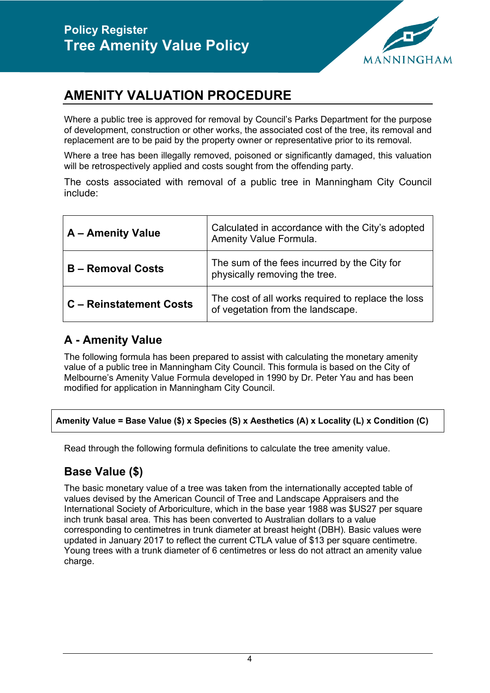

### <span id="page-4-0"></span>**AMENITY VALUATION PROCEDURE**

Where a public tree is approved for removal by Council's Parks Department for the purpose of development, construction or other works, the associated cost of the tree, its removal and replacement are to be paid by the property owner or representative prior to its removal.

Where a tree has been illegally removed, poisoned or significantly damaged, this valuation will be retrospectively applied and costs sought from the offending party.

The costs associated with removal of a public tree in Manningham City Council include:

| A - Amenity Value              | Calculated in accordance with the City's adopted<br>Amenity Value Formula.              |
|--------------------------------|-----------------------------------------------------------------------------------------|
| <b>B</b> – Removal Costs       | The sum of the fees incurred by the City for<br>physically removing the tree.           |
| <b>C</b> – Reinstatement Costs | The cost of all works required to replace the loss<br>of vegetation from the landscape. |

#### **A - Amenity Value**

The following formula has been prepared to assist with calculating the monetary amenity value of a public tree in Manningham City Council. This formula is based on the City of Melbourne's Amenity Value Formula developed in 1990 by Dr. Peter Yau and has been modified for application in Manningham City Council.

#### **Amenity Value = Base Value (\$) x Species (S) x Aesthetics (A) x Locality (L) x Condition (C)**

Read through the following formula definitions to calculate the tree amenity value.

#### **Base Value (\$)**

The basic monetary value of a tree was taken from the internationally accepted table of values devised by the American Council of Tree and Landscape Appraisers and the International Society of Arboriculture, which in the base year 1988 was \$US27 per square inch trunk basal area. This has been converted to Australian dollars to a value corresponding to centimetres in trunk diameter at breast height (DBH). Basic values were updated in January 2017 to reflect the current CTLA value of \$13 per square centimetre. Young trees with a trunk diameter of 6 centimetres or less do not attract an amenity value charge.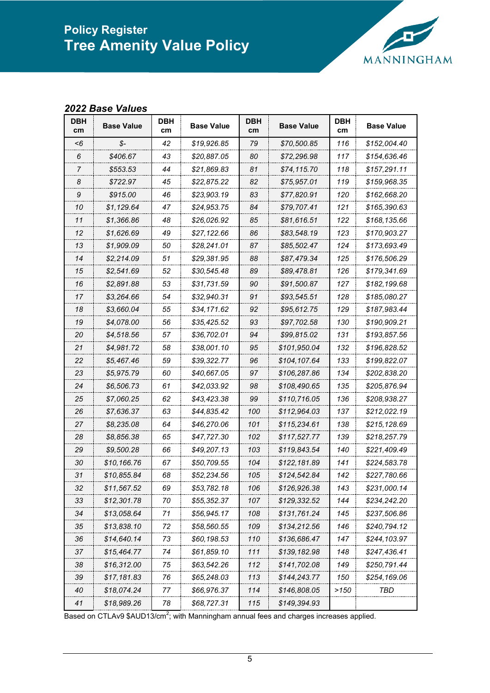

#### *Base Values*

| DBH<br>cm | <b>Base Value</b> | DBH<br>cm. | <b>Base Value</b> | DBH<br>cm | <b>Base Value</b> | DBH<br>cm | <b>Base Value</b> |
|-----------|-------------------|------------|-------------------|-----------|-------------------|-----------|-------------------|
| -6        | \$-               | 42         | \$19,926.85       | 79        | \$70,500.85       | 116       | \$152,004.40      |
| 6         | \$406.67          | 43         | \$20,887.05       | 80        | \$72,296.98       | 117       | \$154,636.46      |
| 7         | \$553.53          | 44         | \$21,869.83       | 81        | \$74,115.70       | 118       | \$157,291.11      |
| 8         | \$722.97          | 45         | \$22,875.22       | 82        | \$75,957.01       | 119       | \$159,968.35      |
| 9         | \$915.00          | 46         | \$23,903.19       | 83        | \$77,820.91       | 120       | \$162,668.20      |
| 10        | \$1,129.64        | 47         | \$24,953.75       | 84        | \$79,707.41       | 121       | \$165,390.63      |
| 11        | \$1,366.86        | 48         | \$26,026.92       | 85        | \$81,616.51       | 122       | \$168,135.66      |
| 12        | \$1,626.69        | 49         | \$27,122.66       | 86        | \$83,548.19       | 123       | \$170,903.27      |
| 13        | \$1,909.09        | 50         | \$28,241.01       | 87        | \$85,502.47       | 124       | \$173,693.49      |
| 14        | \$2,214.09        | 51         | \$29,381.95       | 88        | \$87,479.34       | 125       | \$176,506.29      |
| 15        | \$2,541.69        | 52         | \$30,545.48       | 89        | \$89,478.81       | 126       | \$179,341.69      |
| 16        | \$2.891.88        | 53         | \$31,731.59       | 90        | \$91,500.87       | 127       | \$182,199.68      |
| 17        | \$3,264.66        | 54         | \$32,940.31       | 91        | \$93,545.51       | 128       | \$185,080.27      |
| 18        | \$3.660.04        | 55         | \$34,171.62       | 92        | \$95,612.75       | 129       | \$187,983.44      |
| 19        | \$4,078.00        | 56         | \$35,425.52       | 93        | \$97,702.58       | 130       | \$190,909.21      |
| 20        | \$4,518.56        | 57         | \$36,702.01       | 94        | \$99,815.02       | 131       | \$193,857.56      |
| 21        | \$4,981.72        | 58         | \$38.001.10       | 95        | \$101.950.04      | 132       | \$196,828.52      |
| 22        | \$5,467.46        | 59         | \$39,322.77       | 96        | \$104,107.64      | 133       | \$199,822.07      |
| 23        | \$5,975.79        | 60         | \$40,667.05       | 97        | \$106,287.86      | 134       | \$202,838.20      |
| 24        | \$6,506.73        | 61         | \$42,033.92       | 98        | \$108,490.65      | 135       | \$205,876.94      |
| 25        | \$7,060.25        | 62         | \$43,423.38       | 99        | \$110,716.05      | 136       | \$208,938.27      |
| 26        | \$7,636.37        | 63         | \$44,835.42       | 100       | \$112,964.03      | 137       | \$212,022.19      |
| 27        | \$8,235.08        | 64         | \$46,270.06       | 101       | \$115,234.61      | 138       | \$215,128.69      |
| 28        | \$8.856.38        | 65         | \$47.727.30       | 102       | \$117,527.77      | 139       | \$218,257.79      |
| 29        | \$9,500.28        | 66         | \$49,207.13       | 103       | \$119,843.54      | 140       | \$221,409.49      |
| 30        | \$10,166.76       | 67         | \$50,709.55       | 104       | \$122.181.89      | 141       | \$224,583.78      |
| 31        | \$10,855.84       | 68         | \$52,234.56       | 105       | \$124,542.84      | 142       | \$227,780.66      |
| 32        | \$11,567.52       | 69         | \$53,782.18       | 106       | \$126,926.38      | 143       | \$231,000.14      |
| 33        | \$12,301.78       | 70         | \$55,352.37       | 107       | \$129,332.52      | 144       | \$234,242.20      |
| 34        | \$13,058.64       | 71         | \$56,945.17       | 108       | \$131,761.24      | 145       | \$237,506.86      |
| 35        | \$13,838.10       | 72         | \$58,560.55       | 109       | \$134,212.56      | 146       | \$240,794.12      |
| 36        | \$14,640.14       | 73         | \$60,198.53       | 110       | \$136,686.47      | 147       | \$244,103.97      |
| 37        | \$15,464.77       | 74         | \$61,859.10       | 111       | \$139,182.98      | 148       | \$247,436.41      |
| 38        | \$16,312.00       | 75         | \$63,542.26       | 112       | \$141,702.08      | 149       | \$250,791.44      |
| 39        | \$17,181.83       | 76         | \$65,248.03       | 113       | \$144,243.77      | 150       | \$254,169.06      |
| 40        | \$18,074.24       | 77         | \$66,976.37       | 114       | \$146,808.05      | >150      | TBD               |
| 41        | \$18,989.26       | 78         | \$68,727.31       | 115       | \$149,394.93      |           |                   |

Based on CTLAv9  $$AUD13/cm<sup>2</sup>$ ; with Manningham annual fees and charges increases applied.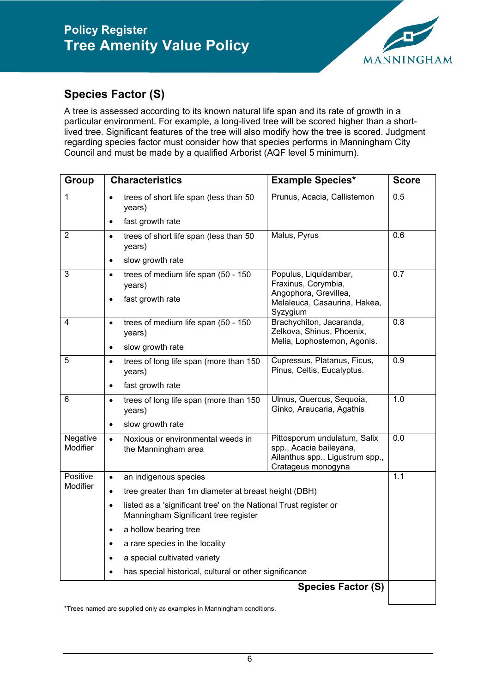

#### **Species Factor (S)**

A tree is assessed according to its known natural life span and its rate of growth in a particular environment. For example, a long-lived tree will be scored higher than a shortlived tree. Significant features of the tree will also modify how the tree is scored. Judgment regarding species factor must consider how that species performs in Manningham City Council and must be made by a qualified Arborist (AQF level 5 minimum).

| <b>Group</b>                | <b>Characteristics</b>                                                                                                | <b>Example Species*</b>                                                                                          | <b>Score</b> |
|-----------------------------|-----------------------------------------------------------------------------------------------------------------------|------------------------------------------------------------------------------------------------------------------|--------------|
| 1                           | trees of short life span (less than 50<br>years)                                                                      | Prunus, Acacia, Callistemon                                                                                      | 0.5          |
|                             | fast growth rate<br>$\bullet$                                                                                         |                                                                                                                  |              |
| $\overline{2}$              | trees of short life span (less than 50<br>$\bullet$<br>years)                                                         | Malus, Pyrus                                                                                                     | 0.6          |
|                             | slow growth rate<br>$\bullet$                                                                                         |                                                                                                                  |              |
| 3                           | trees of medium life span (50 - 150<br>$\bullet$<br>years)                                                            | Populus, Liquidambar,<br>Fraxinus, Corymbia,                                                                     | 0.7          |
|                             | fast growth rate<br>$\bullet$                                                                                         | Angophora, Grevillea,<br>Melaleuca, Casaurina, Hakea,<br>Syzygium                                                |              |
| 4                           | trees of medium life span (50 - 150<br>$\bullet$<br>years)                                                            | Brachychiton, Jacaranda,<br>Zelkova, Shinus, Phoenix,                                                            | 0.8          |
|                             | slow growth rate<br>$\bullet$                                                                                         | Melia, Lophostemon, Agonis.                                                                                      |              |
| 5                           | trees of long life span (more than 150<br>$\bullet$<br>years)                                                         | Cupressus, Platanus, Ficus,<br>Pinus, Celtis, Eucalyptus.                                                        | 0.9          |
|                             | fast growth rate<br>$\bullet$                                                                                         |                                                                                                                  |              |
| 6                           | trees of long life span (more than 150<br>$\bullet$<br>years)                                                         | Ulmus, Quercus, Sequoia,<br>Ginko, Araucaria, Agathis                                                            | 1.0          |
|                             | slow growth rate<br>$\bullet$                                                                                         |                                                                                                                  |              |
| Negative<br><b>Modifier</b> | Noxious or environmental weeds in<br>$\bullet$<br>the Manningham area                                                 | Pittosporum undulatum, Salix<br>spp., Acacia baileyana,<br>Ailanthus spp., Ligustrum spp.,<br>Cratageus monogyna | 0.0          |
| Positive<br>Modifier        | an indigenous species<br>$\bullet$                                                                                    |                                                                                                                  | 1.1          |
|                             | tree greater than 1m diameter at breast height (DBH)<br>$\bullet$                                                     |                                                                                                                  |              |
|                             | listed as a 'significant tree' on the National Trust register or<br>$\bullet$<br>Manningham Significant tree register |                                                                                                                  |              |
|                             | a hollow bearing tree<br>$\bullet$                                                                                    |                                                                                                                  |              |
|                             | a rare species in the locality<br>$\bullet$                                                                           |                                                                                                                  |              |
|                             | a special cultivated variety<br>$\bullet$                                                                             |                                                                                                                  |              |
|                             | has special historical, cultural or other significance<br>$\bullet$                                                   |                                                                                                                  |              |
|                             |                                                                                                                       | <b>Species Factor (S)</b>                                                                                        |              |

\*Trees named are supplied only as examples in Manningham conditions.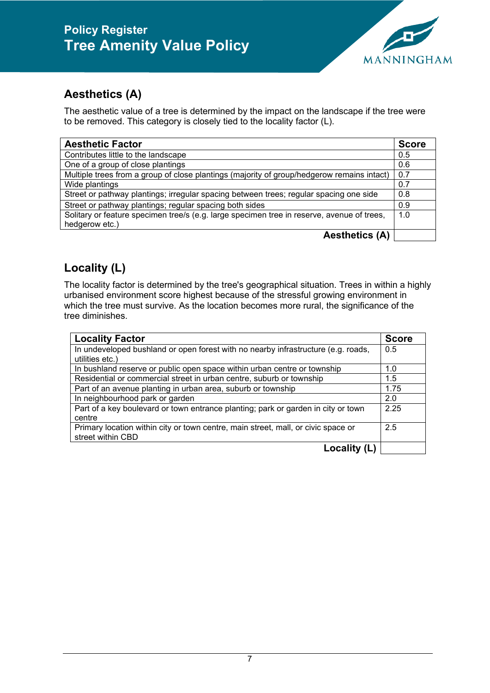

#### **Aesthetics (A)**

The aesthetic value of a tree is determined by the impact on the landscape if the tree were to be removed. This category is closely tied to the locality factor (L).

| <b>Aesthetic Factor</b>                                                                    | <b>Score</b> |
|--------------------------------------------------------------------------------------------|--------------|
| Contributes little to the landscape                                                        | 0.5          |
| One of a group of close plantings                                                          | 0.6          |
| Multiple trees from a group of close plantings (majority of group/hedgerow remains intact) | 0.7          |
| Wide plantings                                                                             | 0.7          |
| Street or pathway plantings; irregular spacing between trees; regular spacing one side     | 0.8          |
| Street or pathway plantings; regular spacing both sides                                    | 0.9          |
| Solitary or feature specimen tree/s (e.g. large specimen tree in reserve, avenue of trees, | 1.0          |
| hedgerow etc.)                                                                             |              |
| <b>Aesthetics (A)</b>                                                                      |              |

#### **Locality (L)**

The locality factor is determined by the tree's geographical situation. Trees in within a highly urbanised environment score highest because of the stressful growing environment in which the tree must survive. As the location becomes more rural, the significance of the tree diminishes.

| <b>Locality Factor</b>                                                                                 | <b>Score</b> |
|--------------------------------------------------------------------------------------------------------|--------------|
| In undeveloped bushland or open forest with no nearby infrastructure (e.g. roads,<br>utilities etc.)   | 0.5          |
| In bushland reserve or public open space within urban centre or township                               | 1.0          |
| Residential or commercial street in urban centre, suburb or township                                   | 1.5          |
| Part of an avenue planting in urban area, suburb or township                                           | 1.75         |
| In neighbourhood park or garden                                                                        | 2.0          |
| Part of a key boulevard or town entrance planting; park or garden in city or town<br>centre            | 2.25         |
| Primary location within city or town centre, main street, mall, or civic space or<br>street within CBD | 2.5          |
| Locality (L)                                                                                           |              |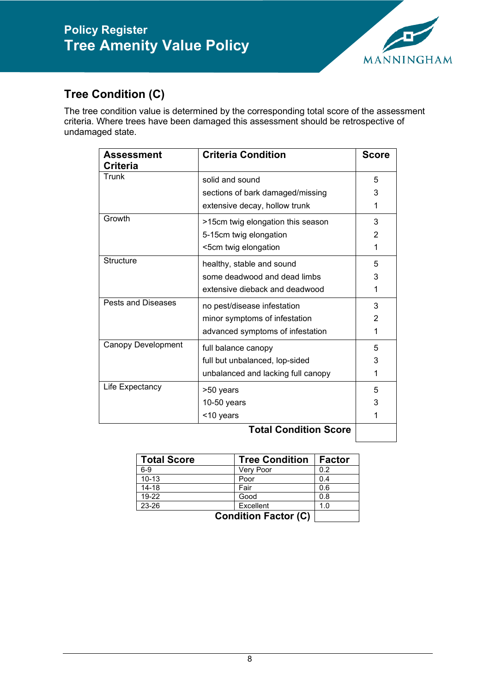

#### **Tree Condition (C)**

The tree condition value is determined by the corresponding total score of the assessment criteria. Where trees have been damaged this assessment should be retrospective of undamaged state.

| Assessment<br>Criteria    | <b>Criteria Condition</b>          | <b>Score</b> |
|---------------------------|------------------------------------|--------------|
| Trunk                     | solid and sound                    | 5            |
|                           | sections of bark damaged/missing   | 3            |
|                           | extensive decay, hollow trunk      | 1            |
| Growth                    | >15cm twig elongation this season  | 3            |
|                           | 5-15cm twig elongation             | 2            |
|                           | <5cm twig elongation               | 1            |
| Structure                 | healthy, stable and sound          | 5            |
|                           | some deadwood and dead limbs       | 3            |
|                           | extensive dieback and deadwood     | 1            |
| Pests and Diseases        | no pest/disease infestation        | 3            |
|                           | minor symptoms of infestation      | 2            |
|                           | advanced symptoms of infestation   | 1            |
| <b>Canopy Development</b> | full balance canopy                | 5            |
|                           | full but unbalanced, lop-sided     | 3            |
|                           | unbalanced and lacking full canopy | 1            |
| Life Expectancy           | >50 years                          | 5            |
|                           | $10-50$ years                      | 3            |
|                           | <10 years                          |              |

#### **Total Condition Score**

| <b>Total Score</b> | <b>Tree Condition</b>       | <b>Factor</b> |
|--------------------|-----------------------------|---------------|
| $6-9$              | Very Poor                   | 0.2           |
| $10 - 13$          | Poor                        | 0.4           |
| $14 - 18$          | Fair                        | 0.6           |
| 19-22              | Good                        | 0.8           |
| 23-26              | Excellent                   | 1.0           |
|                    | <b>Condition Factor (C)</b> |               |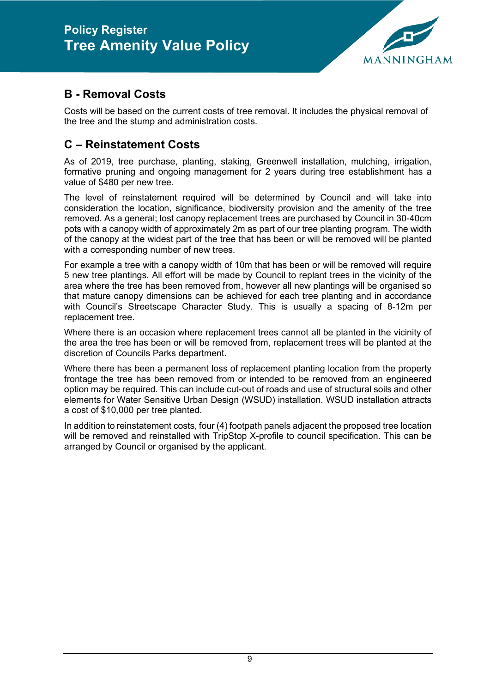

#### **B - Removal Costs**

Costs will be based on the current costs of tree removal. It includes the physical removal of the tree and the stump and administration costs.

#### **C – Reinstatement Costs**

As of 2019, tree purchase, planting, staking, Greenwell installation, mulching, irrigation, formative pruning and ongoing management for 2 years during tree establishment has a value of \$480 per new tree.

The level of reinstatement required will be determined by Council and will take into consideration the location, significance, biodiversity provision and the amenity of the tree removed. As a general; lost canopy replacement trees are purchased by Council in 30-40cm pots with a canopy width of approximately 2m as part of our tree planting program. The width of the canopy at the widest part of the tree that has been or will be removed will be planted with a corresponding number of new trees.

For example a tree with a canopy width of 10m that has been or will be removed will require 5 new tree plantings. All effort will be made by Council to replant trees in the vicinity of the area where the tree has been removed from, however all new plantings will be organised so that mature canopy dimensions can be achieved for each tree planting and in accordance with Council's Streetscape Character Study. This is usually a spacing of 8-12m per replacement tree.

Where there is an occasion where replacement trees cannot all be planted in the vicinity of the area the tree has been or will be removed from, replacement trees will be planted at the discretion of Councils Parks department.

Where there has been a permanent loss of replacement planting location from the property frontage the tree has been removed from or intended to be removed from an engineered option may be required. This can include cut-out of roads and use of structural soils and other elements for Water Sensitive Urban Design (WSUD) installation. WSUD installation attracts a cost of \$10,000 per tree planted.

In addition to reinstatement costs, four (4) footpath panels adjacent the proposed tree location will be removed and reinstalled with TripStop X-profile to council specification. This can be arranged by Council or organised by the applicant.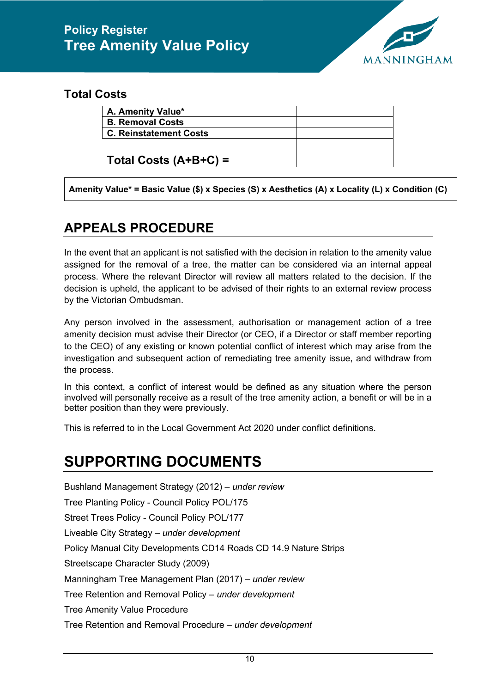

#### **Total Costs**

| A. Amenity Value*             |  |
|-------------------------------|--|
| <b>B. Removal Costs</b>       |  |
| <b>C. Reinstatement Costs</b> |  |
|                               |  |

**Total Costs (A+B+C) =**

<span id="page-10-0"></span>**Amenity Value\* = Basic Value (\$) x Species (S) x Aesthetics (A) x Locality (L) x Condition (C)**

#### **APPEALS PROCEDURE**

In the event that an applicant is not satisfied with the decision in relation to the amenity value assigned for the removal of a tree, the matter can be considered via an internal appeal process. Where the relevant Director will review all matters related to the decision. If the decision is upheld, the applicant to be advised of their rights to an external review process by the Victorian Ombudsman.

Any person involved in the assessment, authorisation or management action of a tree amenity decision must advise their Director (or CEO, if a Director or staff member reporting to the CEO) of any existing or known potential conflict of interest which may arise from the investigation and subsequent action of remediating tree amenity issue, and withdraw from the process.

In this context, a conflict of interest would be defined as any situation where the person involved will personally receive as a result of the tree amenity action, a benefit or will be in a better position than they were previously.

This is referred to in the Local Government Act 2020 under conflict definitions.

# <span id="page-10-1"></span>**SUPPORTING DOCUMENTS**

Bushland Management Strategy (2012) – *under review* Tree Planting Policy - Council Policy POL/175 Street Trees Policy - Council Policy POL/177 Liveable City Strategy – *under development* Policy Manual City Developments CD14 Roads CD 14.9 Nature Strips Streetscape Character Study (2009) Manningham Tree Management Plan (2017) – *under review* Tree Retention and Removal Policy – *under development* Tree Amenity Value Procedure Tree Retention and Removal Procedure – *under development*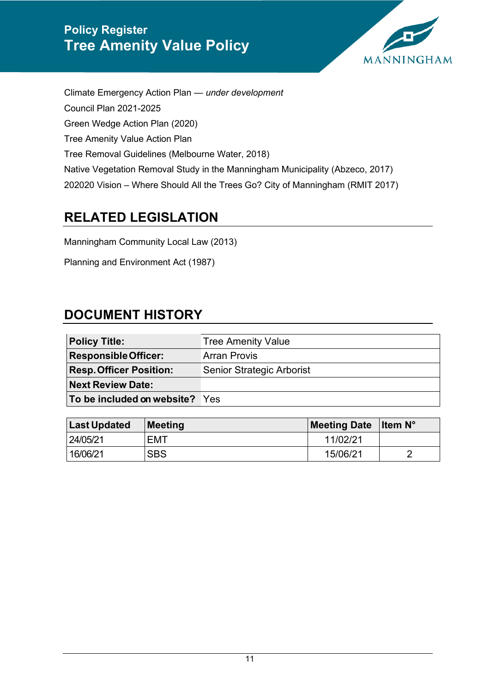

Climate Emergency Action Plan — *under development* Council Plan 2021-2025 Green Wedge Action Plan (2020) Tree Amenity Value Action Plan Tree Removal Guidelines (Melbourne Water, 2018) Native Vegetation Removal Study in the Manningham Municipality (Abzeco, 2017) 202020 Vision – Where Should All the Trees Go? City of Manningham (RMIT 2017)

#### <span id="page-11-0"></span>**RELATED LEGISLATION**

Manningham Community Local Law (2013)

Planning and Environment Act (1987)

#### <span id="page-11-1"></span>**DOCUMENT HISTORY**

| <b>Policy Title:</b>           | <b>Tree Amenity Value</b>        |
|--------------------------------|----------------------------------|
| <b>Responsible Officer:</b>    | <b>Arran Provis</b>              |
| <b>Resp. Officer Position:</b> | <b>Senior Strategic Arborist</b> |
| <b>Next Review Date:</b>       |                                  |
| To be included on website? Yes |                                  |

| <b>Last Updated</b> | Meeting    | <b>Meeting Date</b> | <b>I</b> tem $N^{\circ}$ |
|---------------------|------------|---------------------|--------------------------|
| 24/05/21            | EMT        | 11/02/21            |                          |
| 16/06/21            | <b>SBS</b> | 15/06/21            | ◠                        |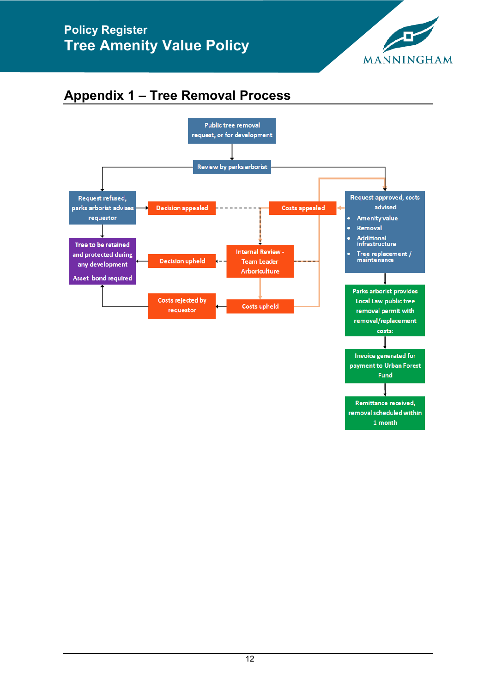

## <span id="page-12-0"></span>**Appendix 1 – Tree Removal Process**

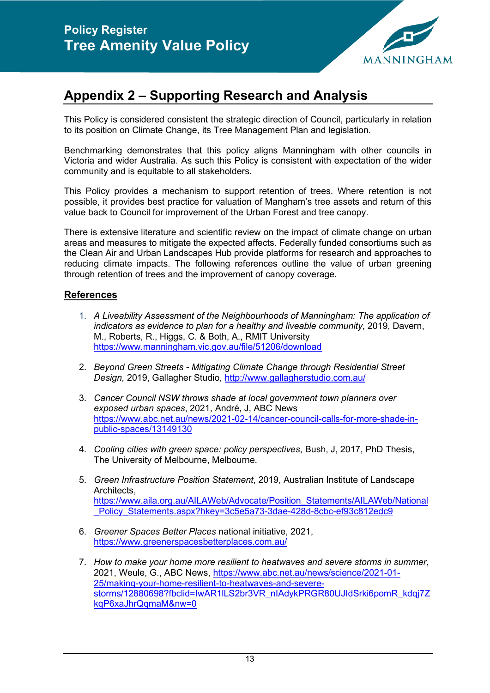

### <span id="page-13-0"></span>**Appendix 2 – Supporting Research and Analysis**

This Policy is considered consistent the strategic direction of Council, particularly in relation to its position on Climate Change, its Tree Management Plan and legislation.

Benchmarking demonstrates that this policy aligns Manningham with other councils in Victoria and wider Australia. As such this Policy is consistent with expectation of the wider community and is equitable to all stakeholders.

This Policy provides a mechanism to support retention of trees. Where retention is not possible, it provides best practice for valuation of Mangham's tree assets and return of this value back to Council for improvement of the Urban Forest and tree canopy.

There is extensive literature and scientific review on the impact of climate change on urban areas and measures to mitigate the expected affects. Federally funded consortiums such as the Clean Air and Urban Landscapes Hub provide platforms for research and approaches to reducing climate impacts. The following references outline the value of urban greening through retention of trees and the improvement of canopy coverage.

#### **References**

- 1. *A Liveability Assessment of the Neighbourhoods of Manningham: The application of indicators as evidence to plan for a healthy and liveable community*, 2019, Davern, M., Roberts, R., Higgs, C. & Both, A., RMIT University <https://www.manningham.vic.gov.au/file/51206/download>
- 2. *Beyond Green Streets - Mitigating Climate Change through Residential Street Design,* 2019, Gallagher Studio,<http://www.gallagherstudio.com.au/>
- 3. *Cancer Council NSW throws shade at local government town planners over exposed urban spaces*, 2021, André, J, ABC News [https://www.abc.net.au/news/2021-02-14/cancer-council-calls-for-more-shade-in](https://www.abc.net.au/news/2021-02-14/cancer-council-calls-for-more-shade-in-public-spaces/13149130)[public-spaces/13149130](https://www.abc.net.au/news/2021-02-14/cancer-council-calls-for-more-shade-in-public-spaces/13149130)
- 4. *Cooling cities with green space: policy perspectives*, Bush, J, 2017, PhD Thesis, The University of Melbourne, Melbourne.
- 5. *Green Infrastructure Position Statement*, 2019, Australian Institute of Landscape Architects, [https://www.aila.org.au/AILAWeb/Advocate/Position\\_Statements/AILAWeb/National](https://www.aila.org.au/AILAWeb/Advocate/Position_Statements/AILAWeb/National_Policy_Statements.aspx?hkey=3c5e5a73-3dae-428d-8cbc-ef93c812edc9) Policy\_Statements.aspx?hkey=3c5e5a73-3dae-428d-8cbc-ef93c812edc9
- 6. *Greener Spaces Better Places* national initiative, 2021, <https://www.greenerspacesbetterplaces.com.au/>
- 7. *How to make your home more resilient to heatwaves and severe storms in summer*, 2021, Weule, G., ABC News, [https://www.abc.net.au/news/science/2021-01-](https://www.abc.net.au/news/science/2021-01-25/making-your-home-resilient-to-heatwaves-and-severe-storms/12880698?fbclid=IwAR1lLS2br3VR_nIAdykPRGR80UJIdSrki6pomR_kdqj7ZkqP6xaJhrQqmaM&nw=0) [25/making-your-home-resilient-to-heatwaves-and-severe](https://www.abc.net.au/news/science/2021-01-25/making-your-home-resilient-to-heatwaves-and-severe-storms/12880698?fbclid=IwAR1lLS2br3VR_nIAdykPRGR80UJIdSrki6pomR_kdqj7ZkqP6xaJhrQqmaM&nw=0)storms/12880698?fbclid=IwAR1ILS2br3VR\_nIAdykPRGR80UJIdSrki6pomR\_kdqj7Z [kqP6xaJhrQqmaM&nw=0](https://www.abc.net.au/news/science/2021-01-25/making-your-home-resilient-to-heatwaves-and-severe-storms/12880698?fbclid=IwAR1lLS2br3VR_nIAdykPRGR80UJIdSrki6pomR_kdqj7ZkqP6xaJhrQqmaM&nw=0)